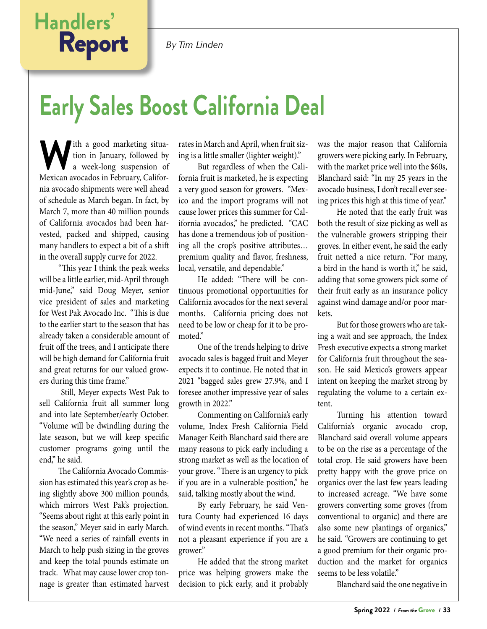### *By Tim Linden*

# **Handlers'** Report

# **Early Sales Boost California Deal**

W ith a good marketing situa-<br>ion in January, followed by<br>Mexican avocados in February Califortion in January, followed by a week-long suspension of Mexican avocados in February, California avocado shipments were well ahead of schedule as March began. In fact, by March 7, more than 40 million pounds of California avocados had been harvested, packed and shipped, causing many handlers to expect a bit of a shift in the overall supply curve for 2022.

"This year I think the peak weeks will be a little earlier, mid-April through mid-June," said Doug Meyer, senior vice president of sales and marketing for West Pak Avocado Inc. "This is due to the earlier start to the season that has already taken a considerable amount of fruit off the trees, and I anticipate there will be high demand for California fruit and great returns for our valued growers during this time frame."

 Still, Meyer expects West Pak to sell California fruit all summer long and into late September/early October. "Volume will be dwindling during the late season, but we will keep specific customer programs going until the end," he said.

The California Avocado Commission has estimated this year's crop as being slightly above 300 million pounds, which mirrors West Pak's projection. "Seems about right at this early point in the season," Meyer said in early March. "We need a series of rainfall events in March to help push sizing in the groves and keep the total pounds estimate on track. What may cause lower crop tonnage is greater than estimated harvest rates in March and April, when fruit sizing is a little smaller (lighter weight)."

But regardless of when the California fruit is marketed, he is expecting a very good season for growers. "Mexico and the import programs will not cause lower prices this summer for California avocados," he predicted. "CAC has done a tremendous job of positioning all the crop's positive attributes… premium quality and flavor, freshness, local, versatile, and dependable."

He added: "There will be continuous promotional opportunities for California avocados for the next several months. California pricing does not need to be low or cheap for it to be promoted."

One of the trends helping to drive avocado sales is bagged fruit and Meyer expects it to continue. He noted that in 2021 "bagged sales grew 27.9%, and I foresee another impressive year of sales growth in 2022."

Commenting on California's early volume, Index Fresh California Field Manager Keith Blanchard said there are many reasons to pick early including a strong market as well as the location of your grove. "There is an urgency to pick if you are in a vulnerable position," he said, talking mostly about the wind.

By early February, he said Ventura County had experienced 16 days of wind events in recent months. "That's not a pleasant experience if you are a grower."

He added that the strong market price was helping growers make the decision to pick early, and it probably was the major reason that California growers were picking early. In February, with the market price well into the \$60s, Blanchard said: "In my 25 years in the avocado business, I don't recall ever seeing prices this high at this time of year."

He noted that the early fruit was both the result of size picking as well as the vulnerable growers stripping their groves. In either event, he said the early fruit netted a nice return. "For many, a bird in the hand is worth it," he said, adding that some growers pick some of their fruit early as an insurance policy against wind damage and/or poor markets.

But for those growers who are taking a wait and see approach, the Index Fresh executive expects a strong market for California fruit throughout the season. He said Mexico's growers appear intent on keeping the market strong by regulating the volume to a certain extent.

Turning his attention toward California's organic avocado crop, Blanchard said overall volume appears to be on the rise as a percentage of the total crop. He said growers have been pretty happy with the grove price on organics over the last few years leading to increased acreage. "We have some growers converting some groves (from conventional to organic) and there are also some new plantings of organics," he said. "Growers are continuing to get a good premium for their organic production and the market for organics seems to be less volatile."

Blanchard said the one negative in